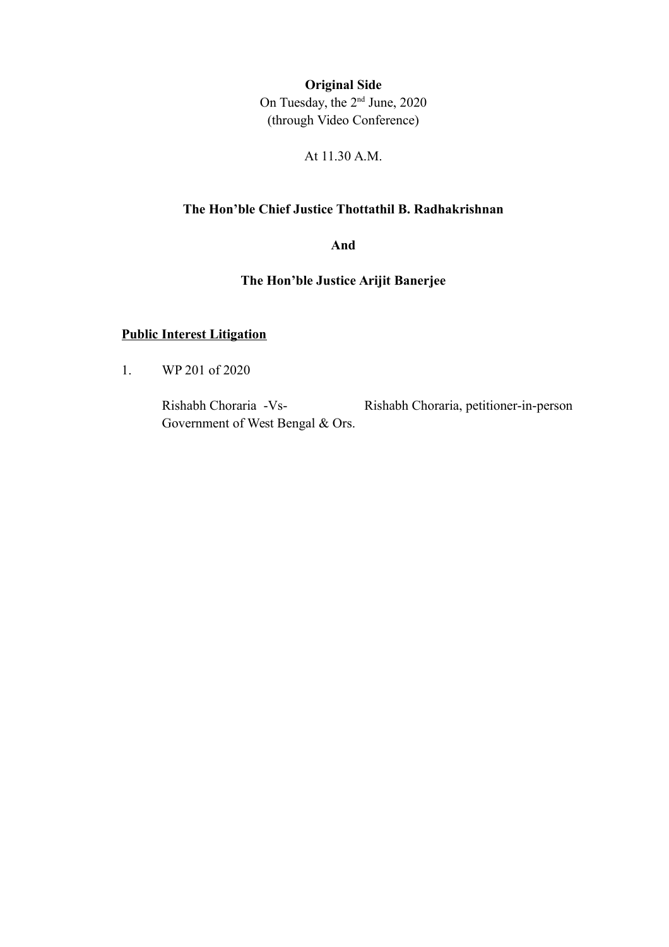**Original Side**

On Tuesday, the 2nd June, 2020 (through Video Conference)

At 11.30 A.M.

#### **The Hon'ble Chief Justice Thottathil B. Radhakrishnan**

**And**

**The Hon'ble Justice Arijit Banerjee**

### **Public Interest Litigation**

1. WP 201 of 2020

Rishabh Choraria -Vs- Rishabh Choraria, petitioner-in-person Government of West Bengal & Ors.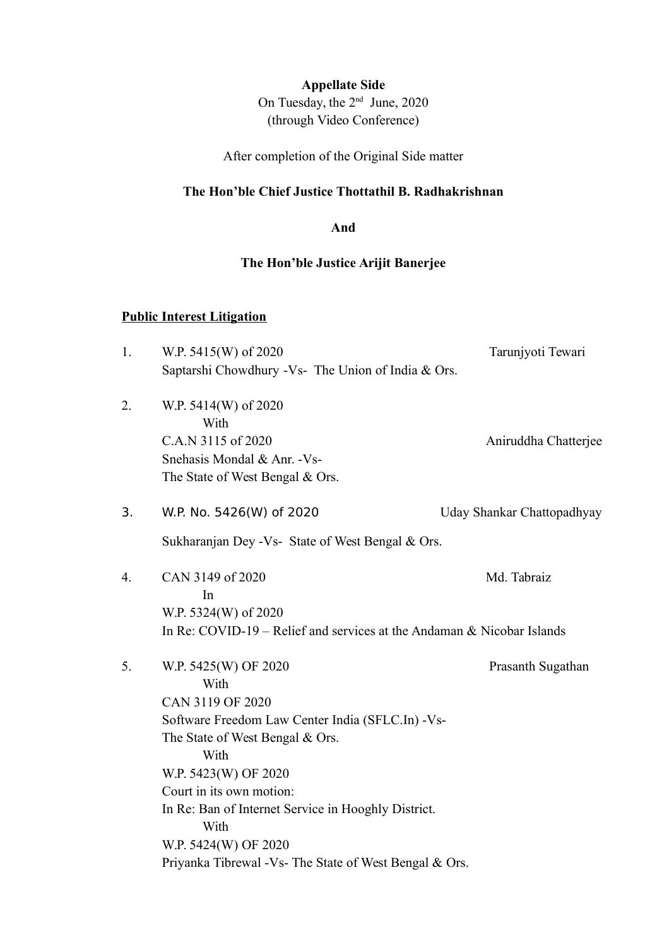## **Appellate Side**

On Tuesday, the 2<sup>nd</sup> June, 2020 (through Video Conference)

After completion of the Original Side matter

### **The Hon'ble Chief Justice Thottathil B. Radhakrishnan**

**And**

#### **The Hon'ble Justice Arijit Banerjee**

## **Public Interest Litigation**

| 1. | W.P. 5415(W) of 2020                                                     | Tarunjyoti Tewari          |  |
|----|--------------------------------------------------------------------------|----------------------------|--|
|    | Saptarshi Chowdhury -Vs- The Union of India & Ors.                       |                            |  |
| 2. | W.P. 5414(W) of 2020<br>With                                             |                            |  |
|    | C.A.N 3115 of 2020                                                       | Aniruddha Chatterjee       |  |
|    | Snehasis Mondal & Anr. - Vs-                                             |                            |  |
|    | The State of West Bengal & Ors.                                          |                            |  |
| 3. | W.P. No. 5426(W) of 2020                                                 | Uday Shankar Chattopadhyay |  |
|    | Sukharanjan Dey - Vs- State of West Bengal & Ors.                        |                            |  |
| 4. | CAN 3149 of 2020<br>In                                                   | Md. Tabraiz                |  |
|    | W.P. 5324(W) of 2020                                                     |                            |  |
|    | In Re: COVID-19 – Relief and services at the Andaman $&$ Nicobar Islands |                            |  |
| 5. | W.P. 5425(W) OF 2020<br>With                                             | Prasanth Sugathan          |  |
|    | CAN 3119 OF 2020                                                         |                            |  |
|    | Software Freedom Law Center India (SFLC.In) -Vs-                         |                            |  |
|    | The State of West Bengal & Ors.<br>With                                  |                            |  |
|    | W.P. 5423(W) OF 2020                                                     |                            |  |
|    | Court in its own motion:                                                 |                            |  |
|    | In Re: Ban of Internet Service in Hooghly District.<br>With              |                            |  |
|    | W.P. 5424(W) OF 2020                                                     |                            |  |
|    | Priyanka Tibrewal - Vs- The State of West Bengal & Ors.                  |                            |  |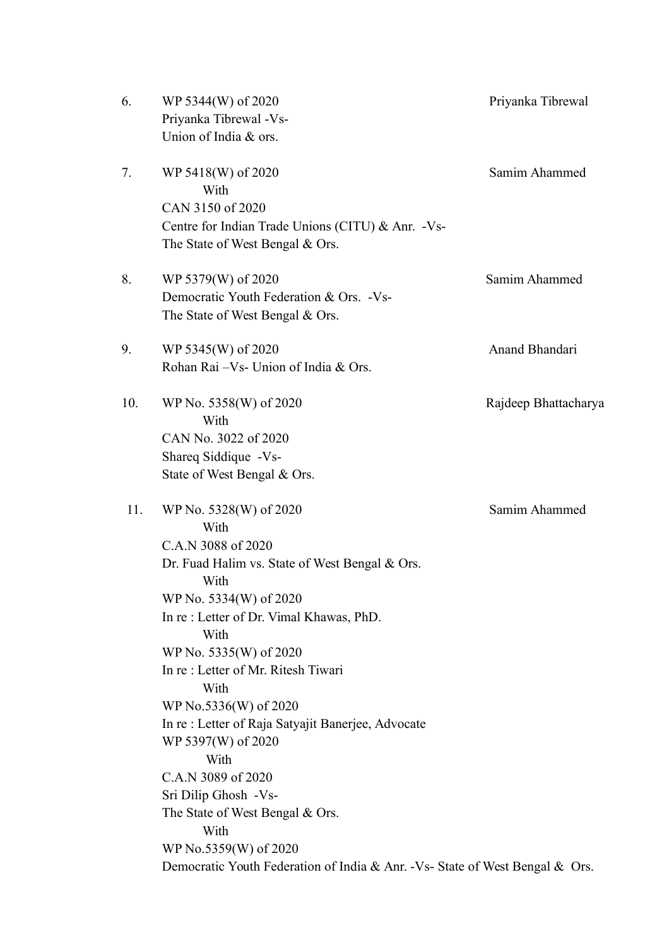| WP 5344(W) of 2020                           | Priyanka Tibrewal                                                                                                                                                                                                                                                                                                                                                                                                                                                                                                                                                                                                                                                                                                                                                                                                                                                                                                                                                                                    |
|----------------------------------------------|------------------------------------------------------------------------------------------------------------------------------------------------------------------------------------------------------------------------------------------------------------------------------------------------------------------------------------------------------------------------------------------------------------------------------------------------------------------------------------------------------------------------------------------------------------------------------------------------------------------------------------------------------------------------------------------------------------------------------------------------------------------------------------------------------------------------------------------------------------------------------------------------------------------------------------------------------------------------------------------------------|
| With                                         | Samim Ahammed                                                                                                                                                                                                                                                                                                                                                                                                                                                                                                                                                                                                                                                                                                                                                                                                                                                                                                                                                                                        |
|                                              | Samim Ahammed                                                                                                                                                                                                                                                                                                                                                                                                                                                                                                                                                                                                                                                                                                                                                                                                                                                                                                                                                                                        |
|                                              | Anand Bhandari                                                                                                                                                                                                                                                                                                                                                                                                                                                                                                                                                                                                                                                                                                                                                                                                                                                                                                                                                                                       |
| With                                         | Rajdeep Bhattacharya                                                                                                                                                                                                                                                                                                                                                                                                                                                                                                                                                                                                                                                                                                                                                                                                                                                                                                                                                                                 |
| With<br>With<br>With<br>With<br>With<br>With | Samim Ahammed                                                                                                                                                                                                                                                                                                                                                                                                                                                                                                                                                                                                                                                                                                                                                                                                                                                                                                                                                                                        |
|                                              | Priyanka Tibrewal -Vs-<br>Union of India & ors.<br>WP 5418(W) of 2020<br>CAN 3150 of 2020<br>Centre for Indian Trade Unions (CITU) & Anr. - Vs-<br>The State of West Bengal & Ors.<br>WP 5379(W) of 2020<br>Democratic Youth Federation & Ors. -Vs-<br>The State of West Bengal & Ors.<br>WP 5345(W) of 2020<br>Rohan Rai - Vs - Union of India & Ors.<br>WP No. 5358(W) of 2020<br>CAN No. 3022 of 2020<br>Shareq Siddique -Vs-<br>State of West Bengal & Ors.<br>WP No. 5328(W) of 2020<br>C.A.N 3088 of 2020<br>Dr. Fuad Halim vs. State of West Bengal & Ors.<br>WP No. 5334(W) of 2020<br>In re: Letter of Dr. Vimal Khawas, PhD.<br>WP No. 5335(W) of 2020<br>In re: Letter of Mr. Ritesh Tiwari<br>WP No.5336(W) of 2020<br>In re: Letter of Raja Satyajit Banerjee, Advocate<br>WP 5397(W) of 2020<br>C.A.N 3089 of 2020<br>Sri Dilip Ghosh -Vs-<br>The State of West Bengal & Ors.<br>WP No.5359(W) of 2020<br>Democratic Youth Federation of India & Anr. -Vs- State of West Bengal & Ors. |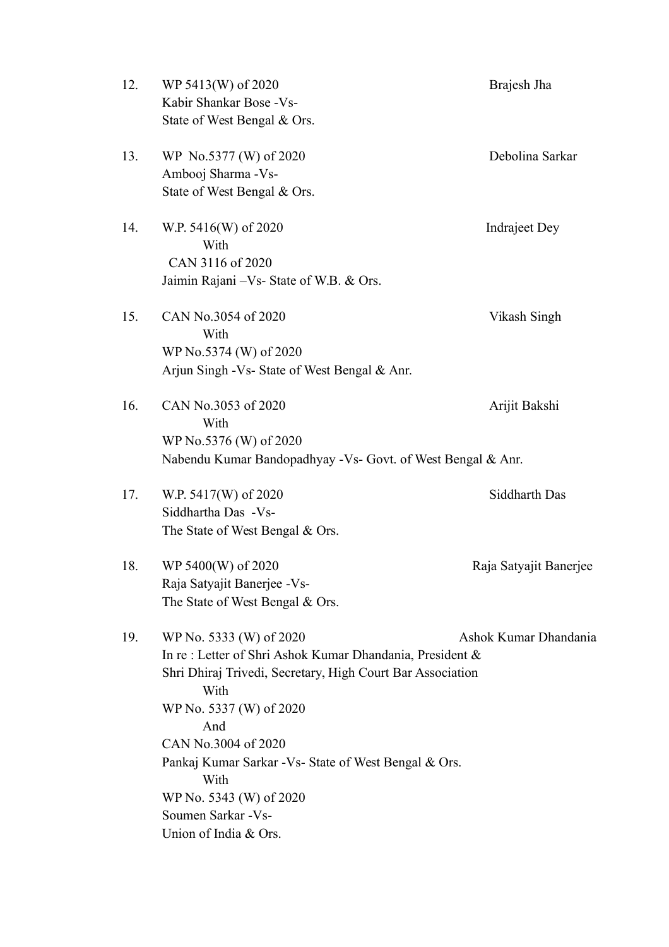| WP 5413(W) of 2020<br>Kabir Shankar Bose - Vs-<br>State of West Bengal & Ors.                                                                                               | Brajesh Jha                                                                                                                                                                                                                                                                                                                                  |
|-----------------------------------------------------------------------------------------------------------------------------------------------------------------------------|----------------------------------------------------------------------------------------------------------------------------------------------------------------------------------------------------------------------------------------------------------------------------------------------------------------------------------------------|
| WP No.5377 (W) of 2020<br>Ambooj Sharma - Vs-<br>State of West Bengal & Ors.                                                                                                | Debolina Sarkar                                                                                                                                                                                                                                                                                                                              |
| W.P. 5416(W) of 2020<br>With<br>CAN 3116 of 2020                                                                                                                            | Indraject Dey                                                                                                                                                                                                                                                                                                                                |
| CAN No.3054 of 2020<br>With<br>WP No.5374 (W) of 2020                                                                                                                       | Vikash Singh                                                                                                                                                                                                                                                                                                                                 |
| CAN No.3053 of 2020<br>With<br>WP No.5376 (W) of 2020                                                                                                                       | Arijit Bakshi                                                                                                                                                                                                                                                                                                                                |
| W.P. 5417(W) of 2020<br>Siddhartha Das -Vs-<br>The State of West Bengal & Ors.                                                                                              | Siddharth Das                                                                                                                                                                                                                                                                                                                                |
| WP 5400(W) of 2020<br>Raja Satyajit Banerjee - Vs-<br>The State of West Bengal & Ors.                                                                                       | Raja Satyajit Banerjee                                                                                                                                                                                                                                                                                                                       |
| WP No. 5333 (W) of 2020<br>With<br>WP No. 5337 (W) of 2020<br>And<br>CAN No.3004 of 2020<br>With<br>WP No. 5343 (W) of 2020<br>Soumen Sarkar - Vs-<br>Union of India & Ors. | Ashok Kumar Dhandania                                                                                                                                                                                                                                                                                                                        |
|                                                                                                                                                                             | Jaimin Rajani – Vs- State of W.B. & Ors.<br>Arjun Singh - Vs- State of West Bengal & Anr.<br>Nabendu Kumar Bandopadhyay - Vs- Govt. of West Bengal & Anr.<br>In re: Letter of Shri Ashok Kumar Dhandania, President &<br>Shri Dhiraj Trivedi, Secretary, High Court Bar Association<br>Pankaj Kumar Sarkar - Vs- State of West Bengal & Ors. |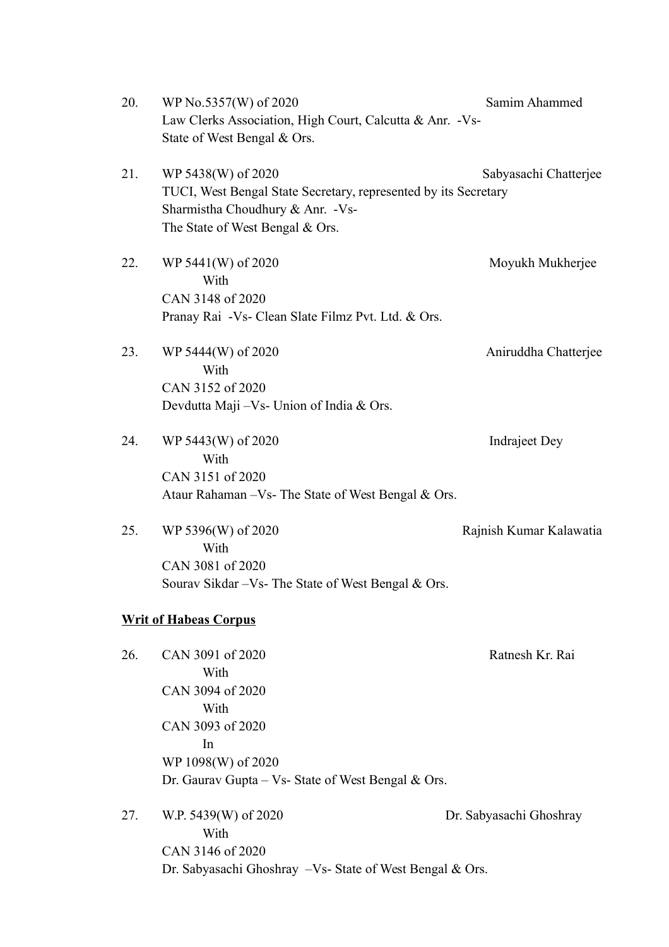20. WP No.5357(W) of 2020 Samim Ahammed Law Clerks Association, High Court, Calcutta & Anr. -Vs-State of West Bengal & Ors. 21. WP 5438(W) of 2020 Sabyasachi Chatterjee TUCI, West Bengal State Secretary, represented by its Secretary Sharmistha Choudhury & Anr. -Vs-The State of West Bengal & Ors. 22. WP 5441(W) of 2020 Moyukh Mukherjee **With** CAN 3148 of 2020 Pranay Rai -Vs- Clean Slate Filmz Pvt. Ltd. & Ors. 23. WP 5444(W) of 2020 Aniruddha Chatteriee With CAN 3152 of 2020 Devdutta Maji –Vs- Union of India & Ors. 24. WP 5443(W) of 2020 Indraject Dey **With** CAN 3151 of 2020 Ataur Rahaman –Vs- The State of West Bengal & Ors. 25. WP 5396(W) of 2020 Rajnish Kumar Kalawatia With CAN 3081 of 2020 Sourav Sikdar –Vs- The State of West Bengal & Ors. **Writ of Habeas Corpus** 26. CAN 3091 of 2020 Ratnesh Kr. Rai With CAN 3094 of 2020 **With** CAN 3093 of 2020 In WP 1098(W) of 2020 Dr. Gaurav Gupta – Vs- State of West Bengal & Ors. 27. W.P. 5439(W) of 2020 Dr. Sabyasachi Ghoshray **With** CAN 3146 of 2020

Dr. Sabyasachi Ghoshray –Vs- State of West Bengal & Ors.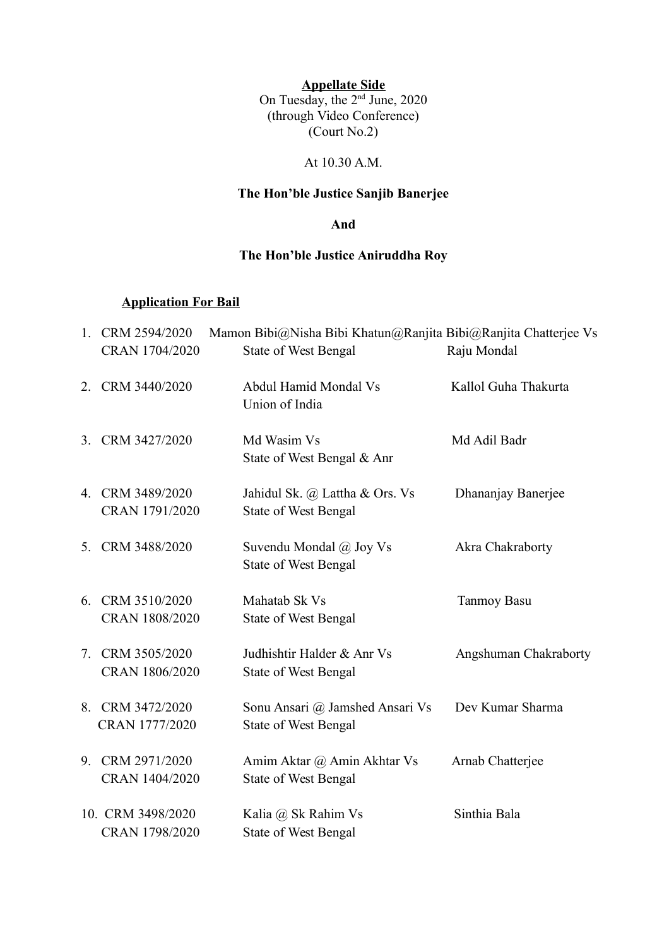**Appellate Side** On Tuesday, the 2<sup>nd</sup> June, 2020 (through Video Conference)  $\left($ Court No.2)

#### At 10.30 A.M.

## **The Hon'ble Justice Sanjib Banerjee**

#### **And**

### **The Hon'ble Justice Aniruddha Roy**

### **Application For Bail**

|                | 1. CRM 2594/2020<br>CRAN 1704/2020  | Mamon Bibi@Nisha Bibi Khatun@Ranjita Bibi@Ranjita Chatterjee Vs<br><b>State of West Bengal</b> | Raju Mondal           |
|----------------|-------------------------------------|------------------------------------------------------------------------------------------------|-----------------------|
|                | 2. CRM 3440/2020                    | Abdul Hamid Mondal Vs<br>Union of India                                                        | Kallol Guha Thakurta  |
|                | 3. CRM 3427/2020                    | Md Wasim Vs<br>State of West Bengal & Anr                                                      | Md Adil Badr          |
|                | 4. CRM 3489/2020<br>CRAN 1791/2020  | Jahidul Sk. @ Lattha & Ors. Vs<br><b>State of West Bengal</b>                                  | Dhananjay Banerjee    |
|                | 5. CRM 3488/2020                    | Suvendu Mondal @ Joy Vs<br><b>State of West Bengal</b>                                         | Akra Chakraborty      |
| 6.             | CRM 3510/2020<br>CRAN 1808/2020     | Mahatab Sk Vs<br><b>State of West Bengal</b>                                                   | <b>Tanmoy Basu</b>    |
|                | 7. CRM 3505/2020<br>CRAN 1806/2020  | Judhishtir Halder & Anr Vs<br><b>State of West Bengal</b>                                      | Angshuman Chakraborty |
|                | 8. CRM 3472/2020<br>CRAN 1777/2020  | Sonu Ansari @ Jamshed Ansari Vs<br><b>State of West Bengal</b>                                 | Dev Kumar Sharma      |
| 9 <sub>1</sub> | CRM 2971/2020<br>CRAN 1404/2020     | Amim Aktar @ Amin Akhtar Vs<br><b>State of West Bengal</b>                                     | Arnab Chatterjee      |
|                | 10. CRM 3498/2020<br>CRAN 1798/2020 | Kalia @ Sk Rahim Vs<br><b>State of West Bengal</b>                                             | Sinthia Bala          |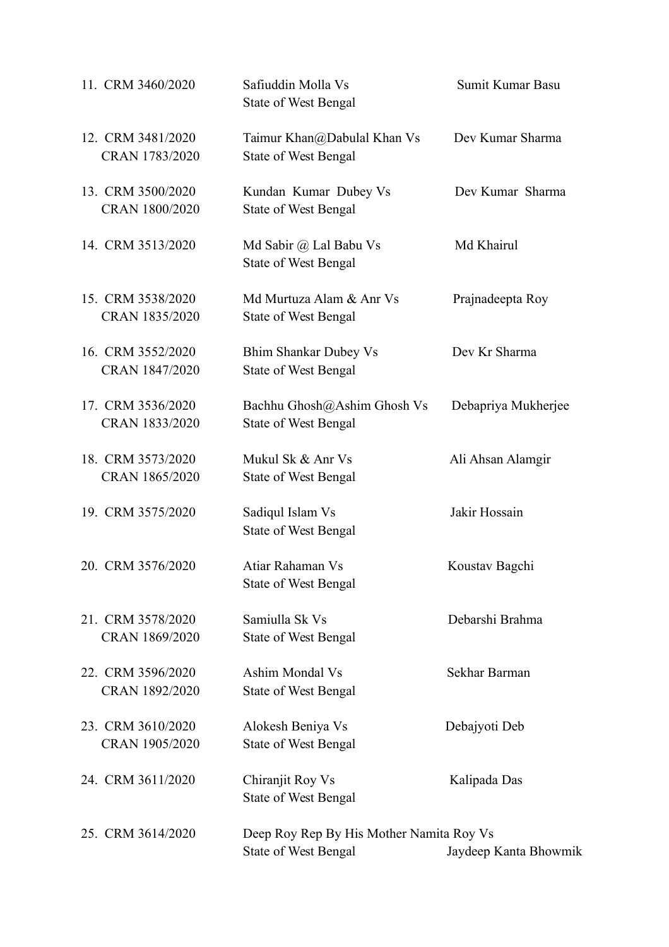| 11. CRM 3460/2020                   | Safiuddin Molla Vs<br><b>State of West Bengal</b>                       | Sumit Kumar Basu      |
|-------------------------------------|-------------------------------------------------------------------------|-----------------------|
| 12. CRM 3481/2020<br>CRAN 1783/2020 | Taimur Khan@Dabulal Khan Vs<br><b>State of West Bengal</b>              | Dev Kumar Sharma      |
| 13. CRM 3500/2020<br>CRAN 1800/2020 | Kundan Kumar Dubey Vs<br><b>State of West Bengal</b>                    | Dev Kumar Sharma      |
| 14. CRM 3513/2020                   | Md Sabir @ Lal Babu Vs<br><b>State of West Bengal</b>                   | Md Khairul            |
| 15. CRM 3538/2020<br>CRAN 1835/2020 | Md Murtuza Alam & Anr Vs<br><b>State of West Bengal</b>                 | Prajnadeepta Roy      |
| 16. CRM 3552/2020<br>CRAN 1847/2020 | <b>Bhim Shankar Dubey Vs</b><br><b>State of West Bengal</b>             | Dev Kr Sharma         |
| 17. CRM 3536/2020<br>CRAN 1833/2020 | Bachhu Ghosh@Ashim Ghosh Vs<br><b>State of West Bengal</b>              | Debapriya Mukherjee   |
| 18. CRM 3573/2020<br>CRAN 1865/2020 | Mukul Sk & Anr Vs<br><b>State of West Bengal</b>                        | Ali Ahsan Alamgir     |
| 19. CRM 3575/2020                   | Sadiqul Islam Vs<br><b>State of West Bengal</b>                         | Jakir Hossain         |
| 20. CRM 3576/2020                   | Atiar Rahaman Vs<br><b>State of West Bengal</b>                         | Koustav Bagchi        |
| 21. CRM 3578/2020<br>CRAN 1869/2020 | Samiulla Sk Vs<br><b>State of West Bengal</b>                           | Debarshi Brahma       |
| 22. CRM 3596/2020<br>CRAN 1892/2020 | Ashim Mondal Vs<br><b>State of West Bengal</b>                          | Sekhar Barman         |
| 23. CRM 3610/2020<br>CRAN 1905/2020 | Alokesh Beniya Vs<br><b>State of West Bengal</b>                        | Debajyoti Deb         |
| 24. CRM 3611/2020                   | Chiranjit Roy Vs<br><b>State of West Bengal</b>                         | Kalipada Das          |
| 25. CRM 3614/2020                   | Deep Roy Rep By His Mother Namita Roy Vs<br><b>State of West Bengal</b> | Jaydeep Kanta Bhowmik |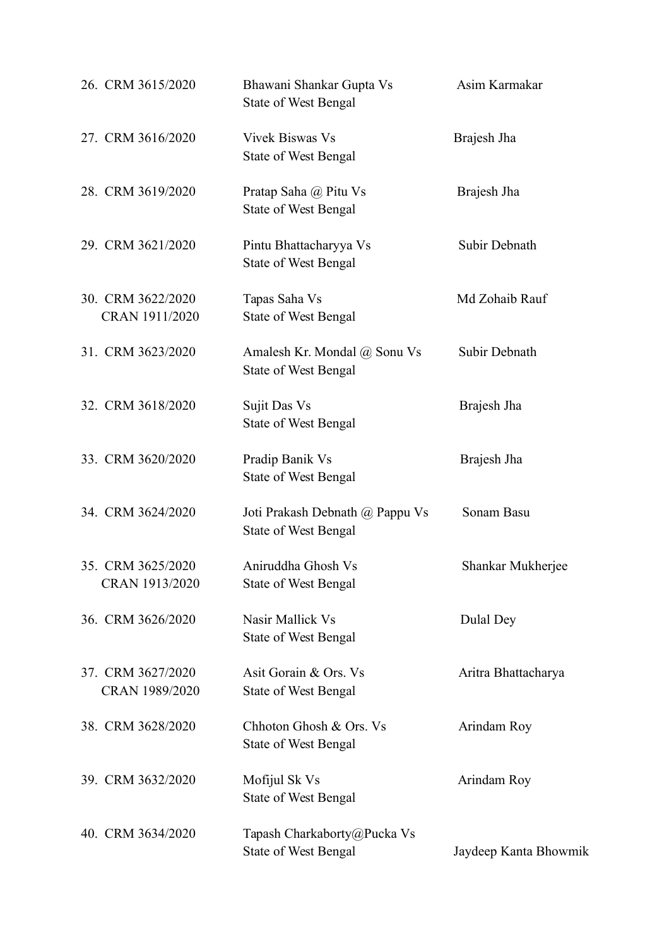| 26. CRM 3615/2020                   | Bhawani Shankar Gupta Vs<br>State of West Bengal               | Asim Karmakar         |
|-------------------------------------|----------------------------------------------------------------|-----------------------|
| 27. CRM 3616/2020                   | <b>Vivek Biswas Vs</b><br><b>State of West Bengal</b>          | Brajesh Jha           |
| 28. CRM 3619/2020                   | Pratap Saha @ Pitu Vs<br><b>State of West Bengal</b>           | Brajesh Jha           |
| 29. CRM 3621/2020                   | Pintu Bhattacharyya Vs<br><b>State of West Bengal</b>          | Subir Debnath         |
| 30. CRM 3622/2020<br>CRAN 1911/2020 | Tapas Saha Vs<br><b>State of West Bengal</b>                   | Md Zohaib Rauf        |
| 31. CRM 3623/2020                   | Amalesh Kr. Mondal @ Sonu Vs<br><b>State of West Bengal</b>    | Subir Debnath         |
| 32. CRM 3618/2020                   | Sujit Das Vs<br><b>State of West Bengal</b>                    | Brajesh Jha           |
| 33. CRM 3620/2020                   | Pradip Banik Vs<br><b>State of West Bengal</b>                 | Brajesh Jha           |
| 34. CRM 3624/2020                   | Joti Prakash Debnath @ Pappu Vs<br><b>State of West Bengal</b> | Sonam Basu            |
| 35. CRM 3625/2020<br>CRAN 1913/2020 | Aniruddha Ghosh Vs<br>State of West Bengal                     | Shankar Mukherjee     |
| 36. CRM 3626/2020                   | Nasir Mallick Vs<br><b>State of West Bengal</b>                | Dulal Dey             |
| 37. CRM 3627/2020<br>CRAN 1989/2020 | Asit Gorain & Ors. Vs<br><b>State of West Bengal</b>           | Aritra Bhattacharya   |
| 38. CRM 3628/2020                   | Chhoton Ghosh & Ors. Vs<br><b>State of West Bengal</b>         | Arindam Roy           |
| 39. CRM 3632/2020                   | Mofijul Sk Vs<br><b>State of West Bengal</b>                   | Arindam Roy           |
| 40. CRM 3634/2020                   | Tapash Charkaborty@Pucka Vs<br><b>State of West Bengal</b>     | Jaydeep Kanta Bhowmik |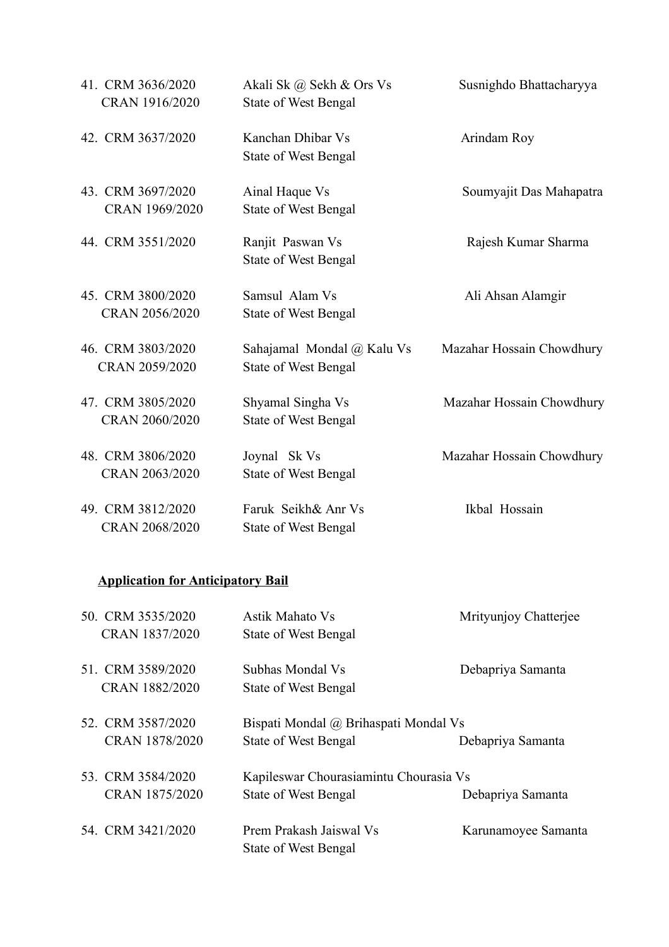| 41. CRM 3636/2020<br>CRAN 1916/2020 | Akali Sk @ Sekh & Ors Vs<br><b>State of West Bengal</b>   | Susnighdo Bhattacharyya   |
|-------------------------------------|-----------------------------------------------------------|---------------------------|
| 42. CRM 3637/2020                   | Kanchan Dhibar Vs<br><b>State of West Bengal</b>          | Arindam Roy               |
| 43. CRM 3697/2020<br>CRAN 1969/2020 | Ainal Haque Vs<br><b>State of West Bengal</b>             | Soumyajit Das Mahapatra   |
| 44. CRM 3551/2020                   | Ranjit Paswan Vs<br><b>State of West Bengal</b>           | Rajesh Kumar Sharma       |
| 45. CRM 3800/2020<br>CRAN 2056/2020 | Samsul Alam Vs<br><b>State of West Bengal</b>             | Ali Ahsan Alamgir         |
| 46. CRM 3803/2020<br>CRAN 2059/2020 | Sahajamal Mondal @ Kalu Vs<br><b>State of West Bengal</b> | Mazahar Hossain Chowdhury |
| 47. CRM 3805/2020<br>CRAN 2060/2020 | Shyamal Singha Vs<br><b>State of West Bengal</b>          | Mazahar Hossain Chowdhury |
| 48. CRM 3806/2020<br>CRAN 2063/2020 | Joynal Sk Vs<br><b>State of West Bengal</b>               | Mazahar Hossain Chowdhury |
| 49. CRM 3812/2020<br>CRAN 2068/2020 | Faruk Seikh& Anr Vs<br><b>State of West Bengal</b>        | Ikbal Hossain             |

# **Application for Anticipatory Bail**

| 50. CRM 3535/2020 | Astik Mahato Vs                        | Mrityunjoy Chatterjee |
|-------------------|----------------------------------------|-----------------------|
| CRAN 1837/2020    | State of West Bengal                   |                       |
| 51. CRM 3589/2020 | Subhas Mondal Vs                       | Debapriya Samanta     |
| CRAN 1882/2020    | State of West Bengal                   |                       |
| 52. CRM 3587/2020 | Bispati Mondal @ Brihaspati Mondal Vs  |                       |
| CRAN 1878/2020    | State of West Bengal                   | Debapriya Samanta     |
| 53. CRM 3584/2020 | Kapileswar Chourasiamintu Chourasia Vs |                       |
| CRAN 1875/2020    | State of West Bengal                   | Debapriya Samanta     |
| 54. CRM 3421/2020 | Prem Prakash Jaiswal Vs                | Karunamoyee Samanta   |
|                   | State of West Bengal                   |                       |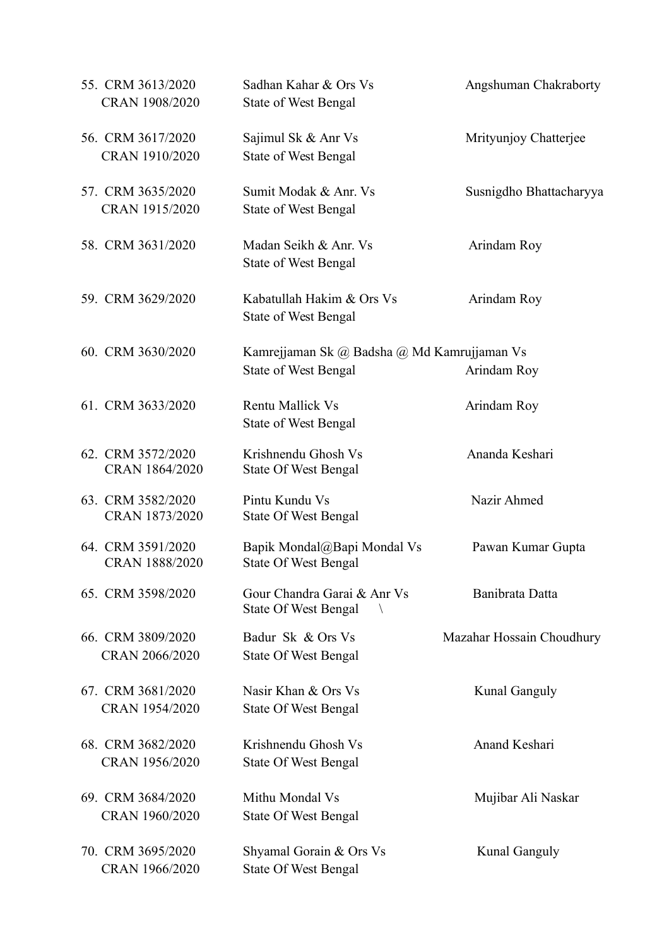| 55. CRM 3613/2020<br>CRAN 1908/2020        | Sadhan Kahar & Ors Vs<br><b>State of West Bengal</b>                       | Angshuman Chakraborty     |
|--------------------------------------------|----------------------------------------------------------------------------|---------------------------|
| 56. CRM 3617/2020<br>CRAN 1910/2020        | Sajimul Sk & Anr Vs<br><b>State of West Bengal</b>                         | Mrityunjoy Chatterjee     |
| 57. CRM 3635/2020<br>CRAN 1915/2020        | Sumit Modak & Anr. Vs<br><b>State of West Bengal</b>                       | Susnigdho Bhattacharyya   |
| 58. CRM 3631/2020                          | Madan Seikh & Anr. Vs<br><b>State of West Bengal</b>                       | Arindam Roy               |
| 59. CRM 3629/2020                          | Kabatullah Hakim & Ors Vs<br><b>State of West Bengal</b>                   | Arindam Roy               |
| 60. CRM 3630/2020                          | Kamrejjaman Sk @ Badsha @ Md Kamrujjaman Vs<br><b>State of West Bengal</b> | Arindam Roy               |
| 61. CRM 3633/2020                          | Rentu Mallick Vs<br><b>State of West Bengal</b>                            | Arindam Roy               |
| 62. CRM 3572/2020<br>CRAN 1864/2020        | Krishnendu Ghosh Vs<br><b>State Of West Bengal</b>                         | Ananda Keshari            |
| 63. CRM 3582/2020<br>CRAN 1873/2020        | Pintu Kundu Vs<br><b>State Of West Bengal</b>                              | Nazir Ahmed               |
| 64. CRM 3591/2020<br><b>CRAN 1888/2020</b> | Bapik Mondal@Bapi Mondal Vs<br><b>State Of West Bengal</b>                 | Pawan Kumar Gupta         |
| 65. CRM 3598/2020                          | Gour Chandra Garai & Anr Vs<br><b>State Of West Bengal</b>                 | Banibrata Datta           |
| 66. CRM 3809/2020<br>CRAN 2066/2020        | Badur Sk & Ors Vs<br><b>State Of West Bengal</b>                           | Mazahar Hossain Choudhury |
| 67. CRM 3681/2020<br>CRAN 1954/2020        | Nasir Khan & Ors Vs<br><b>State Of West Bengal</b>                         | <b>Kunal Ganguly</b>      |
| 68. CRM 3682/2020<br>CRAN 1956/2020        | Krishnendu Ghosh Vs<br><b>State Of West Bengal</b>                         | Anand Keshari             |
| 69. CRM 3684/2020<br>CRAN 1960/2020        | Mithu Mondal Vs<br><b>State Of West Bengal</b>                             | Mujibar Ali Naskar        |
| 70. CRM 3695/2020<br>CRAN 1966/2020        | Shyamal Gorain & Ors Vs<br><b>State Of West Bengal</b>                     | <b>Kunal Ganguly</b>      |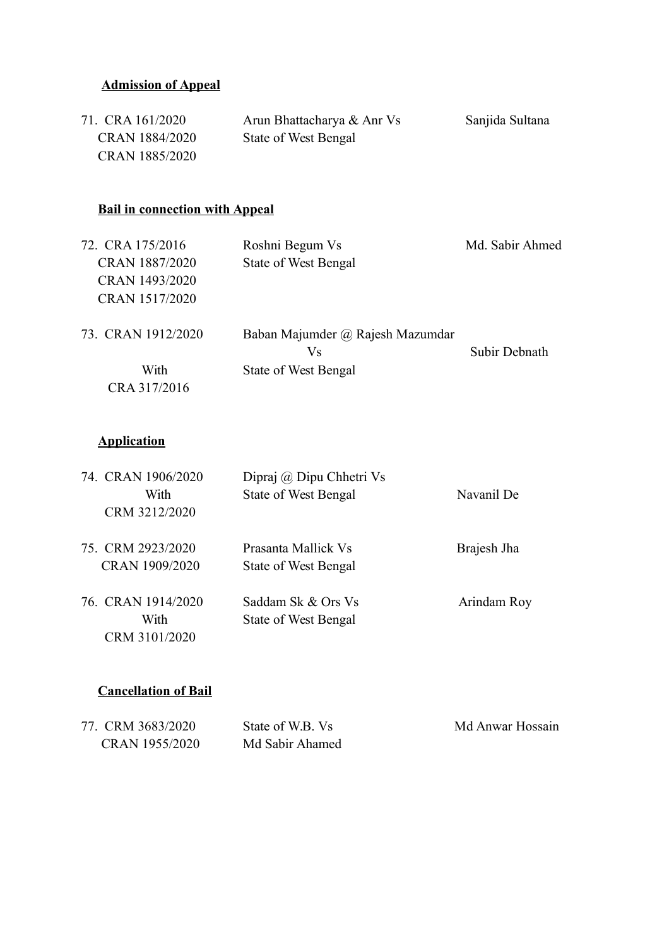## **Admission of Appeal**

| 71. CRA 161/2020 | Arun Bhattacharya & Anr Vs | Sanjida Sultana |
|------------------|----------------------------|-----------------|
| CRAN 1884/2020   | State of West Bengal       |                 |
| CRAN 1885/2020   |                            |                 |

## **Bail in connection with Appeal**

| 72. CRA 175/2016   | Roshni Begum Vs                  | Md. Sabir Ahmed |
|--------------------|----------------------------------|-----------------|
| CRAN 1887/2020     | State of West Bengal             |                 |
| CRAN 1493/2020     |                                  |                 |
| CRAN 1517/2020     |                                  |                 |
| 73. CRAN 1912/2020 | Baban Majumder @ Rajesh Mazumdar |                 |
|                    | Vs                               | Subir Debnath   |
| With               | State of West Bengal             |                 |
| CRA 317/2016       |                                  |                 |

## **Application**

| 74. CRAN 1906/2020 | Dipraj @ Dipu Chhetri Vs    |             |
|--------------------|-----------------------------|-------------|
| With               | State of West Bengal        | Navanil De  |
| CRM 3212/2020      |                             |             |
| 75. CRM 2923/2020  | Prasanta Mallick Vs         | Brajesh Jha |
| CRAN 1909/2020     | <b>State of West Bengal</b> |             |
| 76. CRAN 1914/2020 | Saddam Sk & Ors Vs          | Arindam Roy |
| With               | State of West Bengal        |             |
| CRM 3101/2020      |                             |             |
|                    |                             |             |

## **Cancellation of Bail**

| 77. CRM 3683/2020 | State of W.B. Vs | Md Anwar Hossain |
|-------------------|------------------|------------------|
| CRAN 1955/2020    | Md Sabir Ahamed  |                  |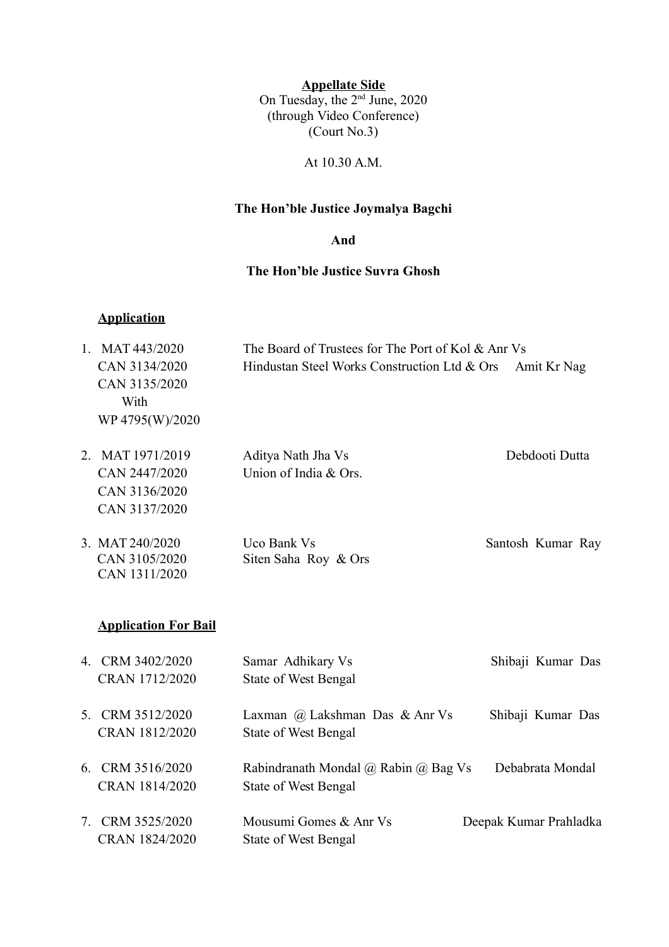**Appellate Side**

On Tuesday, the 2<sup>nd</sup> June, 2020 (through Video Conference)  $\left($ Court No.3)

At 10.30 A.M.

### **The Hon'ble Justice Joymalya Bagchi**

**And**

### **The Hon'ble Justice Suvra Ghosh**

### **Application**

| $1_{-}$ | MAT 443/2020                           | The Board of Trustees for The Port of Kol & Anr Vs          |                        |
|---------|----------------------------------------|-------------------------------------------------------------|------------------------|
|         | CAN 3134/2020<br>CAN 3135/2020<br>With | Hindustan Steel Works Construction Ltd & Ors<br>Amit Kr Nag |                        |
|         | WP 4795(W)/2020                        |                                                             |                        |
| 2.      | MAT 1971/2019                          | Aditya Nath Jha Vs                                          | Debdooti Dutta         |
|         | CAN 2447/2020                          | Union of India & Ors.                                       |                        |
|         | CAN 3136/2020                          |                                                             |                        |
|         | CAN 3137/2020                          |                                                             |                        |
|         | 3. MAT 240/2020                        | Uco Bank Vs                                                 | Santosh Kumar Ray      |
|         | CAN 3105/2020                          | Siten Saha Roy & Ors                                        |                        |
|         | CAN 1311/2020                          |                                                             |                        |
|         | <b>Application For Bail</b>            |                                                             |                        |
|         | 4. CRM 3402/2020                       | Samar Adhikary Vs                                           | Shibaji Kumar Das      |
|         | CRAN 1712/2020                         | <b>State of West Bengal</b>                                 |                        |
|         | 5. CRM 3512/2020                       | Laxman @ Lakshman Das & Anr Vs                              | Shibaji Kumar Das      |
|         | CRAN 1812/2020                         | <b>State of West Bengal</b>                                 |                        |
|         | 6. CRM 3516/2020                       | Rabindranath Mondal @ Rabin @ Bag Vs                        | Debabrata Mondal       |
|         |                                        |                                                             |                        |
|         | CRAN 1814/2020                         | <b>State of West Bengal</b>                                 |                        |
|         | 7. CRM 3525/2020                       | Mousumi Gomes & Anr Vs                                      | Deepak Kumar Prahladka |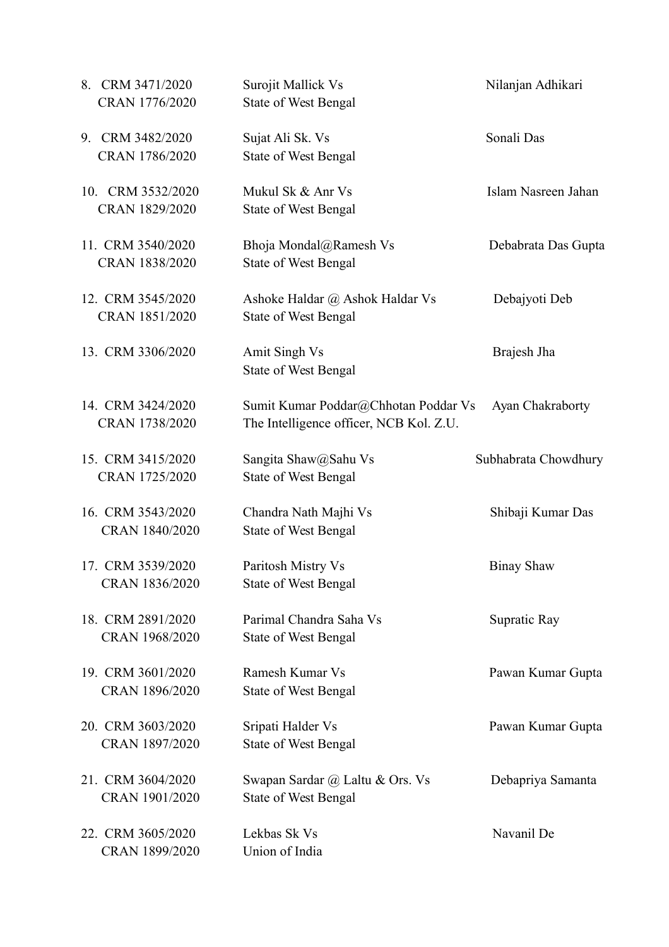| 8. CRM 3471/2020<br>CRAN 1776/2020  | Surojit Mallick Vs<br><b>State of West Bengal</b>                               | Nilanjan Adhikari    |
|-------------------------------------|---------------------------------------------------------------------------------|----------------------|
| 9. CRM 3482/2020<br>CRAN 1786/2020  | Sujat Ali Sk. Vs<br><b>State of West Bengal</b>                                 | Sonali Das           |
| 10. CRM 3532/2020<br>CRAN 1829/2020 | Mukul Sk & Anr Vs<br><b>State of West Bengal</b>                                | Islam Nasreen Jahan  |
| 11. CRM 3540/2020<br>CRAN 1838/2020 | Bhoja Mondal@Ramesh Vs<br><b>State of West Bengal</b>                           | Debabrata Das Gupta  |
| 12. CRM 3545/2020<br>CRAN 1851/2020 | Ashoke Haldar @ Ashok Haldar Vs<br><b>State of West Bengal</b>                  | Debajyoti Deb        |
| 13. CRM 3306/2020                   | Amit Singh Vs<br><b>State of West Bengal</b>                                    | Brajesh Jha          |
| 14. CRM 3424/2020<br>CRAN 1738/2020 | Sumit Kumar Poddar@Chhotan Poddar Vs<br>The Intelligence officer, NCB Kol. Z.U. | Ayan Chakraborty     |
| 15. CRM 3415/2020<br>CRAN 1725/2020 | Sangita Shaw@Sahu Vs<br><b>State of West Bengal</b>                             | Subhabrata Chowdhury |
| 16. CRM 3543/2020<br>CRAN 1840/2020 | Chandra Nath Majhi Vs<br><b>State of West Bengal</b>                            | Shibaji Kumar Das    |
| 17. CRM 3539/2020<br>CRAN 1836/2020 | Paritosh Mistry Vs<br><b>State of West Bengal</b>                               | <b>Binay Shaw</b>    |
| 18. CRM 2891/2020<br>CRAN 1968/2020 | Parimal Chandra Saha Vs<br><b>State of West Bengal</b>                          | Supratic Ray         |
| 19. CRM 3601/2020<br>CRAN 1896/2020 | Ramesh Kumar Vs<br><b>State of West Bengal</b>                                  | Pawan Kumar Gupta    |
| 20. CRM 3603/2020<br>CRAN 1897/2020 | Sripati Halder Vs<br><b>State of West Bengal</b>                                | Pawan Kumar Gupta    |
| 21. CRM 3604/2020<br>CRAN 1901/2020 | Swapan Sardar @ Laltu & Ors. Vs<br><b>State of West Bengal</b>                  | Debapriya Samanta    |
| 22. CRM 3605/2020<br>CRAN 1899/2020 | Lekbas Sk Vs<br>Union of India                                                  | Navanil De           |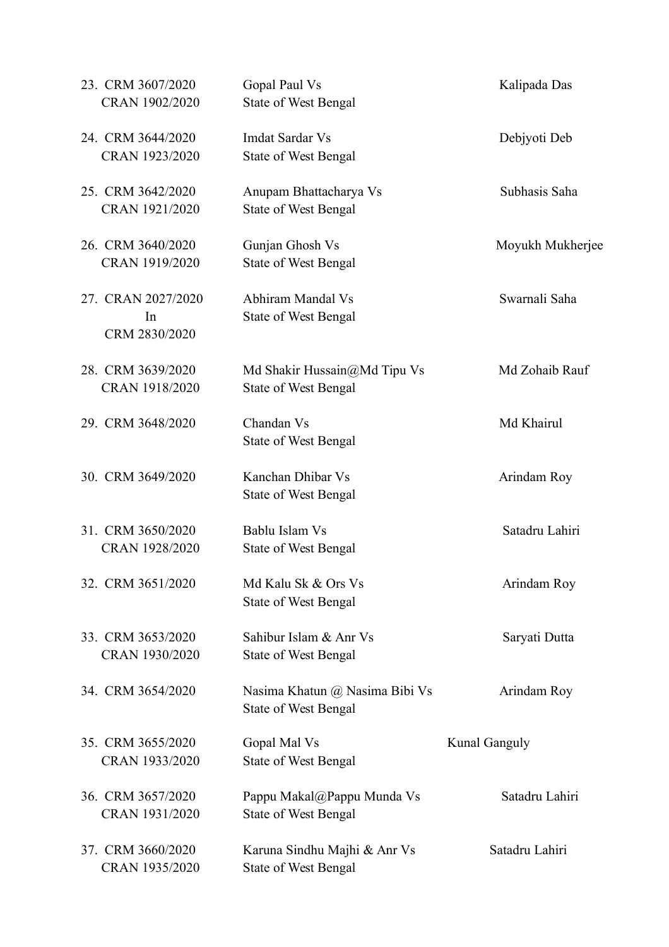| 23. CRM 3607/2020<br>CRAN 1902/2020       | Gopal Paul Vs<br><b>State of West Bengal</b>                  | Kalipada Das         |
|-------------------------------------------|---------------------------------------------------------------|----------------------|
| 24. CRM 3644/2020<br>CRAN 1923/2020       | Imdat Sardar Vs<br><b>State of West Bengal</b>                | Debjyoti Deb         |
| 25. CRM 3642/2020<br>CRAN 1921/2020       | Anupam Bhattacharya Vs<br><b>State of West Bengal</b>         | Subhasis Saha        |
| 26. CRM 3640/2020<br>CRAN 1919/2020       | Gunjan Ghosh Vs<br><b>State of West Bengal</b>                | Moyukh Mukherjee     |
| 27. CRAN 2027/2020<br>In<br>CRM 2830/2020 | Abhiram Mandal Vs<br><b>State of West Bengal</b>              | Swarnali Saha        |
| 28. CRM 3639/2020<br>CRAN 1918/2020       | Md Shakir Hussain@Md Tipu Vs<br><b>State of West Bengal</b>   | Md Zohaib Rauf       |
| 29. CRM 3648/2020                         | Chandan Vs<br><b>State of West Bengal</b>                     | Md Khairul           |
| 30. CRM 3649/2020                         | Kanchan Dhibar Vs<br><b>State of West Bengal</b>              | Arindam Roy          |
| 31. CRM 3650/2020<br>CRAN 1928/2020       | Bablu Islam Vs<br><b>State of West Bengal</b>                 | Satadru Lahiri       |
| 32. CRM 3651/2020                         | Md Kalu Sk & Ors Vs<br><b>State of West Bengal</b>            | Arindam Roy          |
| 33. CRM 3653/2020<br>CRAN 1930/2020       | Sahibur Islam & Anr Vs<br><b>State of West Bengal</b>         | Saryati Dutta        |
| 34. CRM 3654/2020                         | Nasima Khatun @ Nasima Bibi Vs<br><b>State of West Bengal</b> | Arindam Roy          |
| 35. CRM 3655/2020<br>CRAN 1933/2020       | Gopal Mal Vs<br><b>State of West Bengal</b>                   | <b>Kunal Ganguly</b> |
| 36. CRM 3657/2020<br>CRAN 1931/2020       | Pappu Makal@Pappu Munda Vs<br><b>State of West Bengal</b>     | Satadru Lahiri       |
| 37. CRM 3660/2020<br>CRAN 1935/2020       | Karuna Sindhu Majhi & Anr Vs<br><b>State of West Bengal</b>   | Satadru Lahiri       |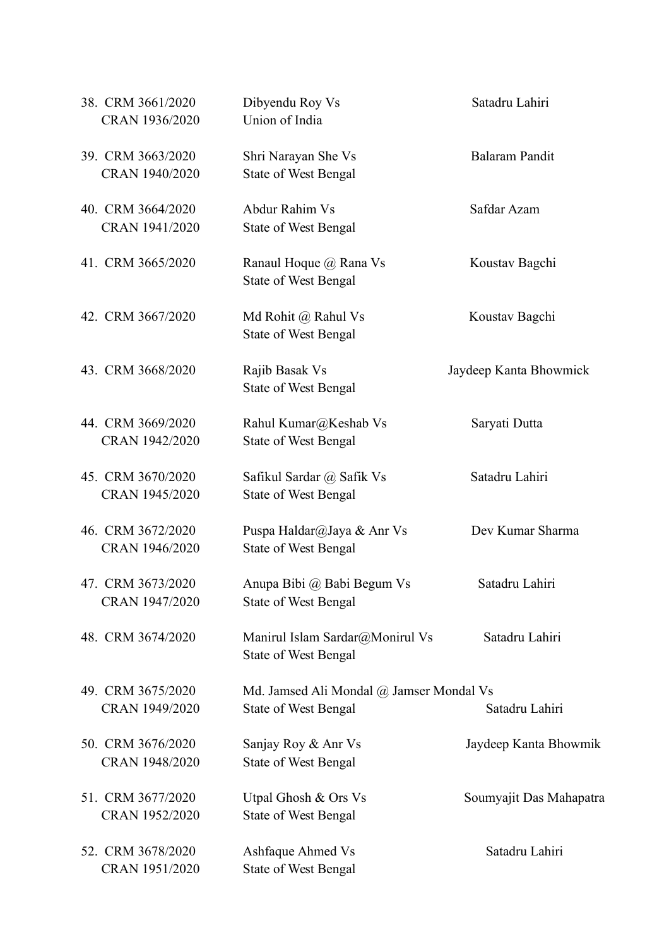| 38. CRM 3661/2020<br>CRAN 1936/2020 | Dibyendu Roy Vs<br>Union of India                                       | Satadru Lahiri          |
|-------------------------------------|-------------------------------------------------------------------------|-------------------------|
| 39. CRM 3663/2020<br>CRAN 1940/2020 | Shri Narayan She Vs<br><b>State of West Bengal</b>                      | Balaram Pandit          |
| 40. CRM 3664/2020<br>CRAN 1941/2020 | Abdur Rahim Vs<br><b>State of West Bengal</b>                           | Safdar Azam             |
| 41. CRM 3665/2020                   | Ranaul Hoque @ Rana Vs<br><b>State of West Bengal</b>                   | Koustav Bagchi          |
| 42. CRM 3667/2020                   | Md Rohit @ Rahul Vs<br><b>State of West Bengal</b>                      | Koustav Bagchi          |
| 43. CRM 3668/2020                   | Rajib Basak Vs<br><b>State of West Bengal</b>                           | Jaydeep Kanta Bhowmick  |
| 44. CRM 3669/2020<br>CRAN 1942/2020 | Rahul Kumar@Keshab Vs<br><b>State of West Bengal</b>                    | Saryati Dutta           |
| 45. CRM 3670/2020<br>CRAN 1945/2020 | Safikul Sardar @ Safik Vs<br><b>State of West Bengal</b>                | Satadru Lahiri          |
| 46. CRM 3672/2020<br>CRAN 1946/2020 | Puspa Haldar@Jaya & Anr Vs<br><b>State of West Bengal</b>               | Dev Kumar Sharma        |
| 47. CRM 3673/2020<br>CRAN 1947/2020 | Anupa Bibi @ Babi Begum Vs<br><b>State of West Bengal</b>               | Satadru Lahiri          |
| 48. CRM 3674/2020                   | Manirul Islam Sardar@Monirul Vs<br><b>State of West Bengal</b>          | Satadru Lahiri          |
| 49. CRM 3675/2020<br>CRAN 1949/2020 | Md. Jamsed Ali Mondal @ Jamser Mondal Vs<br><b>State of West Bengal</b> | Satadru Lahiri          |
| 50. CRM 3676/2020<br>CRAN 1948/2020 | Sanjay Roy & Anr Vs<br><b>State of West Bengal</b>                      | Jaydeep Kanta Bhowmik   |
| 51. CRM 3677/2020<br>CRAN 1952/2020 | Utpal Ghosh & Ors Vs<br><b>State of West Bengal</b>                     | Soumyajit Das Mahapatra |
| 52. CRM 3678/2020<br>CRAN 1951/2020 | <b>Ashfaque Ahmed Vs</b><br><b>State of West Bengal</b>                 | Satadru Lahiri          |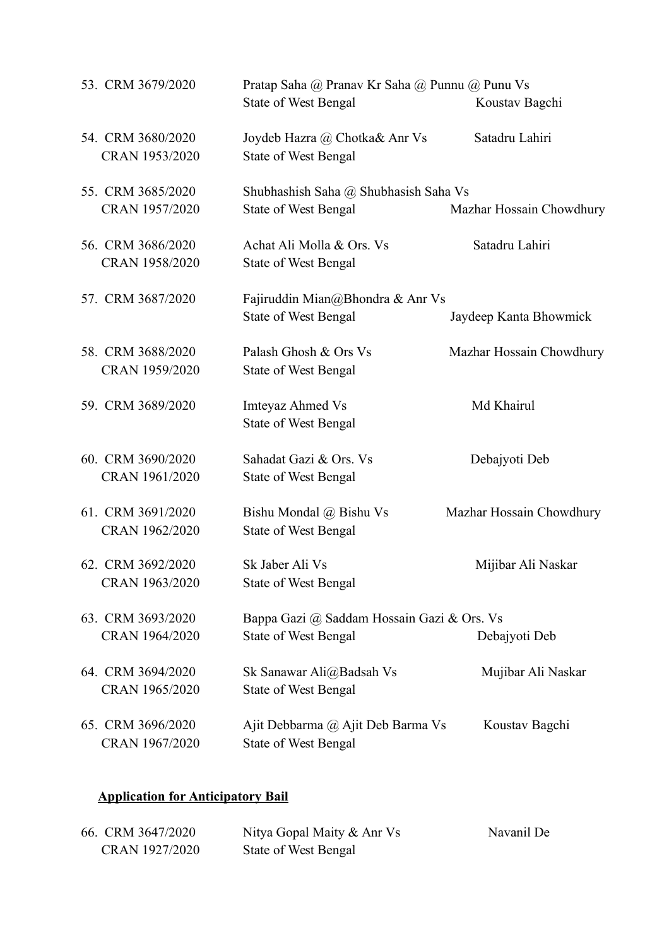| 53. CRM 3679/2020                   | Pratap Saha @ Pranav Kr Saha @ Punnu @ Punu Vs<br><b>State of West Bengal</b><br>Koustav Bagchi |                          |
|-------------------------------------|-------------------------------------------------------------------------------------------------|--------------------------|
| 54. CRM 3680/2020<br>CRAN 1953/2020 | Joydeb Hazra @ Chotka& Anr Vs<br><b>State of West Bengal</b>                                    | Satadru Lahiri           |
| 55. CRM 3685/2020                   | Shubhashish Saha @ Shubhasish Saha Vs                                                           |                          |
| CRAN 1957/2020                      | <b>State of West Bengal</b>                                                                     | Mazhar Hossain Chowdhury |
| 56. CRM 3686/2020<br>CRAN 1958/2020 | Achat Ali Molla & Ors. Vs<br><b>State of West Bengal</b>                                        | Satadru Lahiri           |
| 57. CRM 3687/2020                   | Fajiruddin Mian@Bhondra & Anr Vs<br><b>State of West Bengal</b>                                 | Jaydeep Kanta Bhowmick   |
| 58. CRM 3688/2020<br>CRAN 1959/2020 | Palash Ghosh & Ors Vs<br><b>State of West Bengal</b>                                            | Mazhar Hossain Chowdhury |
| 59. CRM 3689/2020                   | <b>Imteyaz Ahmed Vs</b><br><b>State of West Bengal</b>                                          | Md Khairul               |
| 60. CRM 3690/2020<br>CRAN 1961/2020 | Sahadat Gazi & Ors. Vs<br><b>State of West Bengal</b>                                           | Debajyoti Deb            |
| 61. CRM 3691/2020<br>CRAN 1962/2020 | Bishu Mondal @ Bishu Vs<br><b>State of West Bengal</b>                                          | Mazhar Hossain Chowdhury |
| 62. CRM 3692/2020<br>CRAN 1963/2020 | Sk Jaber Ali Vs<br><b>State of West Bengal</b>                                                  | Mijibar Ali Naskar       |
| 63. CRM 3693/2020<br>CRAN 1964/2020 | Bappa Gazi @ Saddam Hossain Gazi & Ors. Vs<br><b>State of West Bengal</b>                       | Debajyoti Deb            |
| 64. CRM 3694/2020<br>CRAN 1965/2020 | Sk Sanawar Ali@Badsah Vs<br><b>State of West Bengal</b>                                         | Mujibar Ali Naskar       |
| 65. CRM 3696/2020<br>CRAN 1967/2020 | Ajit Debbarma @ Ajit Deb Barma Vs<br><b>State of West Bengal</b>                                | Koustav Bagchi           |

# **Application for Anticipatory Bail**

| 66. CRM 3647/2020 | Nitya Gopal Maity & Anr Vs | Navanil De |
|-------------------|----------------------------|------------|
| CRAN 1927/2020    | State of West Bengal       |            |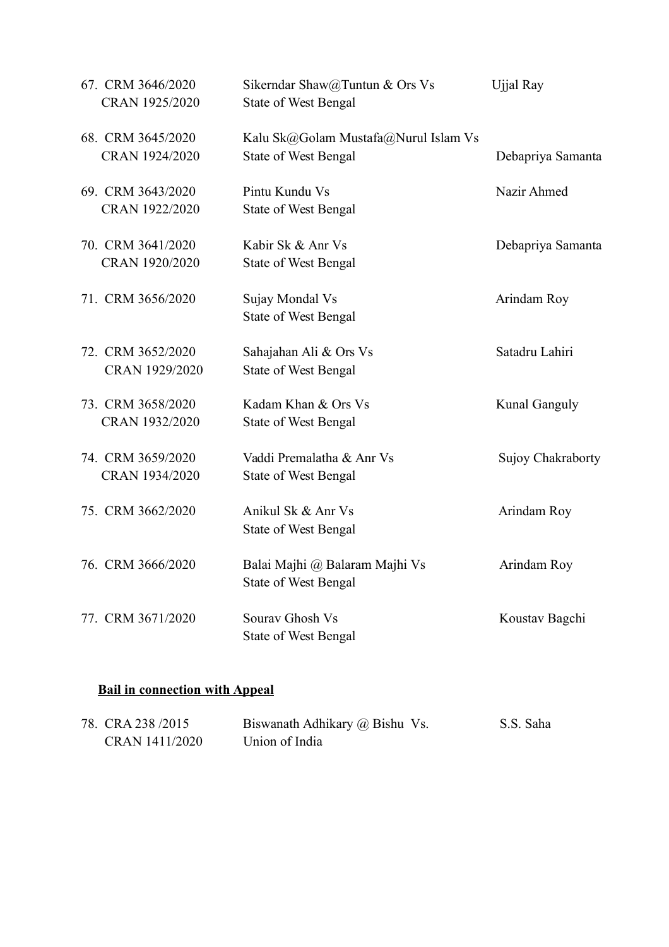| 67. CRM 3646/2020<br>CRAN 1925/2020 | Sikerndar Shaw@Tuntun & Ors Vs<br><b>State of West Bengal</b>       | Ujjal Ray            |
|-------------------------------------|---------------------------------------------------------------------|----------------------|
| 68. CRM 3645/2020<br>CRAN 1924/2020 | Kalu Sk@Golam Mustafa@Nurul Islam Vs<br><b>State of West Bengal</b> | Debapriya Samanta    |
| 69. CRM 3643/2020<br>CRAN 1922/2020 | Pintu Kundu Vs<br>State of West Bengal                              | Nazir Ahmed          |
| 70. CRM 3641/2020<br>CRAN 1920/2020 | Kabir Sk & Anr Vs<br><b>State of West Bengal</b>                    | Debapriya Samanta    |
| 71. CRM 3656/2020                   | Sujay Mondal Vs<br>State of West Bengal                             | Arindam Roy          |
| 72. CRM 3652/2020<br>CRAN 1929/2020 | Sahajahan Ali & Ors Vs<br><b>State of West Bengal</b>               | Satadru Lahiri       |
| 73. CRM 3658/2020<br>CRAN 1932/2020 | Kadam Khan & Ors Vs<br>State of West Bengal                         | <b>Kunal Ganguly</b> |
| 74. CRM 3659/2020<br>CRAN 1934/2020 | Vaddi Premalatha & Anr Vs<br><b>State of West Bengal</b>            | Sujoy Chakraborty    |
| 75. CRM 3662/2020                   | Anikul Sk & Anr Vs<br><b>State of West Bengal</b>                   | Arindam Roy          |
| 76. CRM 3666/2020                   | Balai Majhi @ Balaram Majhi Vs<br>State of West Bengal              | Arindam Roy          |
| 77. CRM 3671/2020                   | Sourav Ghosh Vs<br>State of West Bengal                             | Koustav Bagchi       |

# **Bail in connection with Appeal**

| 78. CRA 238 /2015 | Biswanath Adhikary @ Bishu Vs. | S.S. Saha |
|-------------------|--------------------------------|-----------|
| CRAN 1411/2020    | Union of India                 |           |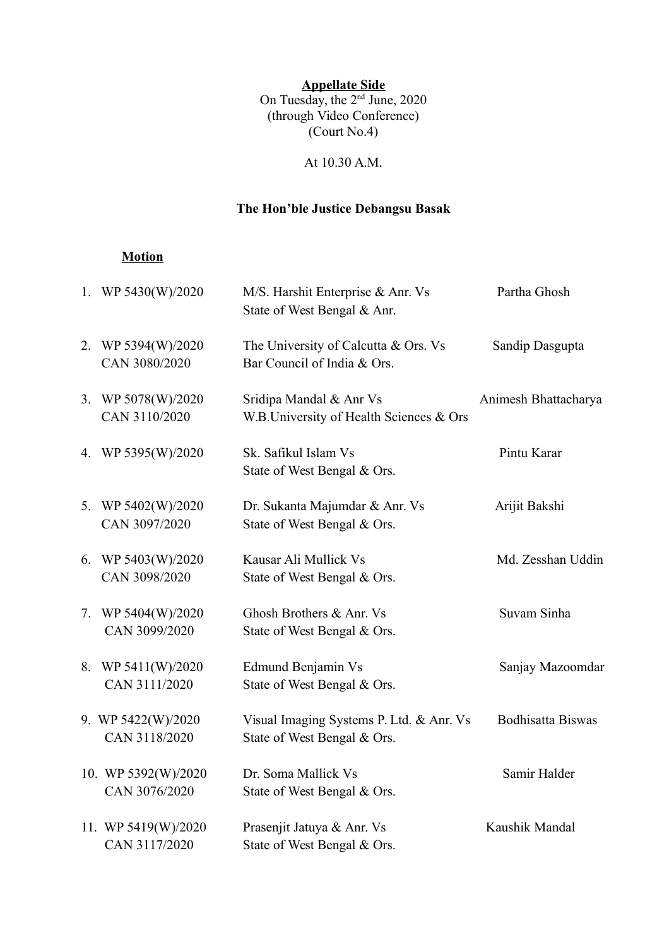**Appellate Side**

On Tuesday, the 2<sup>nd</sup> June, 2020 (through Video Conference) (Court No.4)

At 10.30 A.M.

## **The Hon'ble Justice Debangsu Basak**

### **Motion**

| 1. WP $5430(W)/2020$                  | M/S. Harshit Enterprise & Anr. Vs<br>State of West Bengal & Anr.        | Partha Ghosh             |
|---------------------------------------|-------------------------------------------------------------------------|--------------------------|
| 2. WP 5394(W)/2020<br>CAN 3080/2020   | The University of Calcutta & Ors. Vs<br>Bar Council of India & Ors.     | Sandip Dasgupta          |
| 3. WP $5078(W)/2020$<br>CAN 3110/2020 | Sridipa Mandal & Anr Vs<br>W.B.University of Health Sciences & Ors      | Animesh Bhattacharya     |
| 4. WP 5395(W)/2020                    | Sk. Safikul Islam Vs<br>State of West Bengal & Ors.                     | Pintu Karar              |
| 5. WP 5402(W)/2020<br>CAN 3097/2020   | Dr. Sukanta Majumdar & Anr. Vs<br>State of West Bengal & Ors.           | Arijit Bakshi            |
| 6. WP $5403(W)/2020$<br>CAN 3098/2020 | Kausar Ali Mullick Vs<br>State of West Bengal & Ors.                    | Md. Zesshan Uddin        |
| 7. WP 5404(W)/2020<br>CAN 3099/2020   | Ghosh Brothers & Anr. Vs<br>State of West Bengal & Ors.                 | Suvam Sinha              |
| 8. WP 5411(W)/2020<br>CAN 3111/2020   | Edmund Benjamin Vs<br>State of West Bengal & Ors.                       | Sanjay Mazoomdar         |
| 9. WP 5422(W)/2020<br>CAN 3118/2020   | Visual Imaging Systems P. Ltd. & Anr. Vs<br>State of West Bengal & Ors. | <b>Bodhisatta Biswas</b> |
| 10. WP 5392(W)/2020<br>CAN 3076/2020  | Dr. Soma Mallick Vs<br>State of West Bengal & Ors.                      | Samir Halder             |
| 11. WP 5419(W)/2020<br>CAN 3117/2020  | Prasenjit Jatuya & Anr. Vs<br>State of West Bengal & Ors.               | Kaushik Mandal           |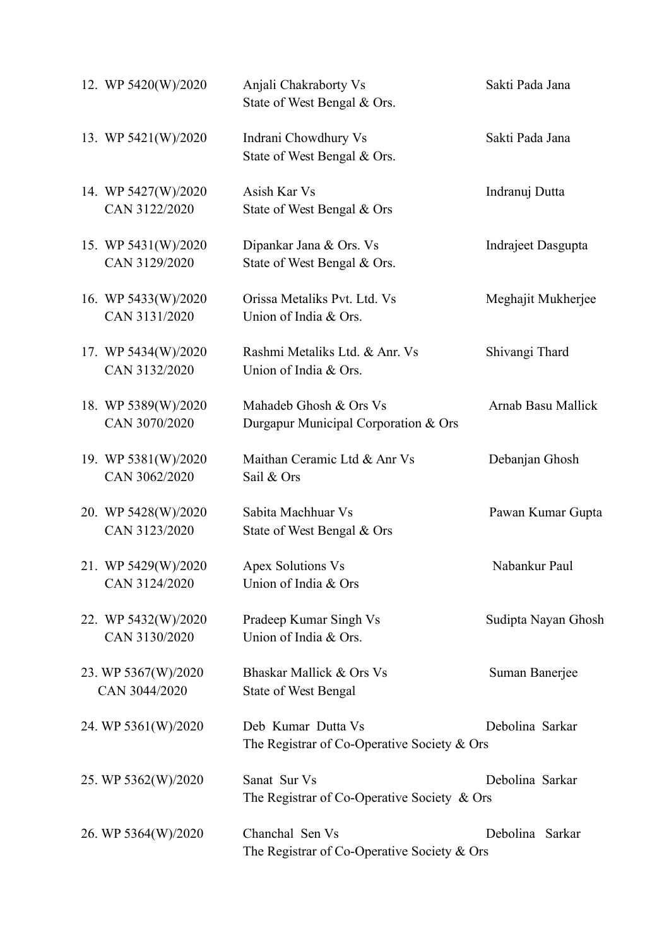| 12. WP 5420(W)/2020                  | Anjali Chakraborty Vs<br>State of West Bengal & Ors.                | Sakti Pada Jana     |
|--------------------------------------|---------------------------------------------------------------------|---------------------|
| 13. WP 5421(W)/2020                  | Indrani Chowdhury Vs<br>State of West Bengal & Ors.                 | Sakti Pada Jana     |
| 14. WP 5427(W)/2020<br>CAN 3122/2020 | Asish Kar Vs<br>State of West Bengal & Ors                          | Indranuj Dutta      |
| 15. WP 5431(W)/2020<br>CAN 3129/2020 | Dipankar Jana & Ors. Vs<br>State of West Bengal & Ors.              | Indrajeet Dasgupta  |
| 16. WP 5433(W)/2020<br>CAN 3131/2020 | Orissa Metaliks Pvt. Ltd. Vs<br>Union of India & Ors.               | Meghajit Mukherjee  |
| 17. WP 5434(W)/2020<br>CAN 3132/2020 | Rashmi Metaliks Ltd. & Anr. Vs<br>Union of India & Ors.             | Shivangi Thard      |
| 18. WP 5389(W)/2020<br>CAN 3070/2020 | Mahadeb Ghosh & Ors Vs<br>Durgapur Municipal Corporation & Ors      | Arnab Basu Mallick  |
| 19. WP 5381(W)/2020<br>CAN 3062/2020 | Maithan Ceramic Ltd & Anr Vs<br>Sail & Ors                          | Debanjan Ghosh      |
| 20. WP 5428(W)/2020<br>CAN 3123/2020 | Sabita Machhuar Vs<br>State of West Bengal & Ors                    | Pawan Kumar Gupta   |
| 21. WP 5429(W)/2020<br>CAN 3124/2020 | <b>Apex Solutions Vs</b><br>Union of India & Ors                    | Nabankur Paul       |
| 22. WP 5432(W)/2020<br>CAN 3130/2020 | Pradeep Kumar Singh Vs<br>Union of India & Ors.                     | Sudipta Nayan Ghosh |
| 23. WP 5367(W)/2020<br>CAN 3044/2020 | Bhaskar Mallick & Ors Vs<br><b>State of West Bengal</b>             | Suman Banerjee      |
| 24. WP 5361(W)/2020                  | Deb Kumar Dutta Vs<br>The Registrar of Co-Operative Society $&$ Ors | Debolina Sarkar     |
| 25. WP 5362(W)/2020                  | Sanat Sur Vs<br>The Registrar of Co-Operative Society $\&$ Ors      | Debolina Sarkar     |
| 26. WP 5364(W)/2020                  | Chanchal Sen Vs<br>The Registrar of Co-Operative Society & Ors      | Debolina Sarkar     |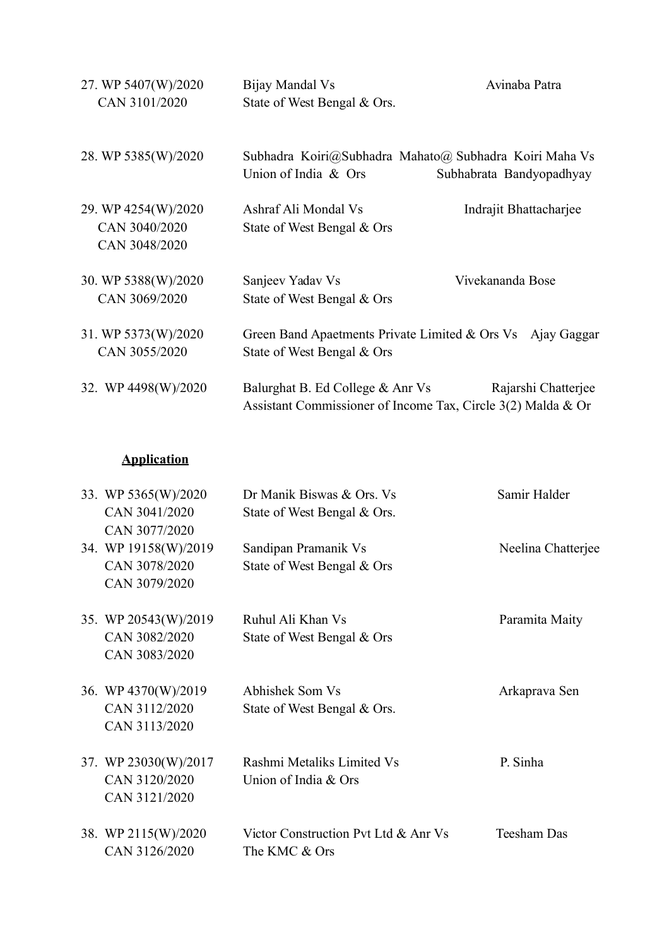| 27. WP 5407(W)/2020<br>CAN 3101/2020                  | Bijay Mandal Vs<br>State of West Bengal & Ors.                                                   | Avinaba Patra            |
|-------------------------------------------------------|--------------------------------------------------------------------------------------------------|--------------------------|
| 28. WP 5385(W)/2020                                   | Subhadra Koiri@Subhadra Mahato@ Subhadra Koiri Maha Vs<br>Union of India & Ors                   | Subhabrata Bandyopadhyay |
| 29. WP 4254(W)/2020<br>CAN 3040/2020<br>CAN 3048/2020 | Ashraf Ali Mondal Vs<br>State of West Bengal & Ors                                               | Indrajit Bhattacharjee   |
| 30. WP 5388(W)/2020<br>CAN 3069/2020                  | Sanjeev Yadav Vs<br>State of West Bengal & Ors                                                   | Vivekananda Bose         |
| 31. WP 5373(W)/2020<br>CAN 3055/2020                  | Green Band Apaetments Private Limited & Ors Vs<br>State of West Bengal & Ors                     | Ajay Gaggar              |
| 32. WP 4498(W)/2020                                   | Balurghat B. Ed College & Anr Vs<br>Assistant Commissioner of Income Tax, Circle 3(2) Malda & Or | Rajarshi Chatterjee      |

## **Application**

|  | 33. WP 5365(W)/2020  | Dr Manik Biswas & Ors. Vs            | Samir Halder       |
|--|----------------------|--------------------------------------|--------------------|
|  | CAN 3041/2020        | State of West Bengal & Ors.          |                    |
|  | CAN 3077/2020        |                                      |                    |
|  | 34. WP 19158(W)/2019 | Sandipan Pramanik Vs                 | Neelina Chatterjee |
|  | CAN 3078/2020        | State of West Bengal & Ors           |                    |
|  | CAN 3079/2020        |                                      |                    |
|  | 35. WP 20543(W)/2019 | Ruhul Ali Khan Vs                    | Paramita Maity     |
|  | CAN 3082/2020        | State of West Bengal & Ors           |                    |
|  | CAN 3083/2020        |                                      |                    |
|  | 36. WP 4370(W)/2019  | Abhishek Som Vs                      | Arkaprava Sen      |
|  | CAN 3112/2020        | State of West Bengal & Ors.          |                    |
|  | CAN 3113/2020        |                                      |                    |
|  | 37. WP 23030(W)/2017 | Rashmi Metaliks Limited Vs           | P. Sinha           |
|  | CAN 3120/2020        | Union of India & Ors                 |                    |
|  | CAN 3121/2020        |                                      |                    |
|  | 38. WP 2115(W)/2020  | Victor Construction Pvt Ltd & Anr Vs | <b>Teesham Das</b> |
|  | CAN 3126/2020        | The KMC & Ors                        |                    |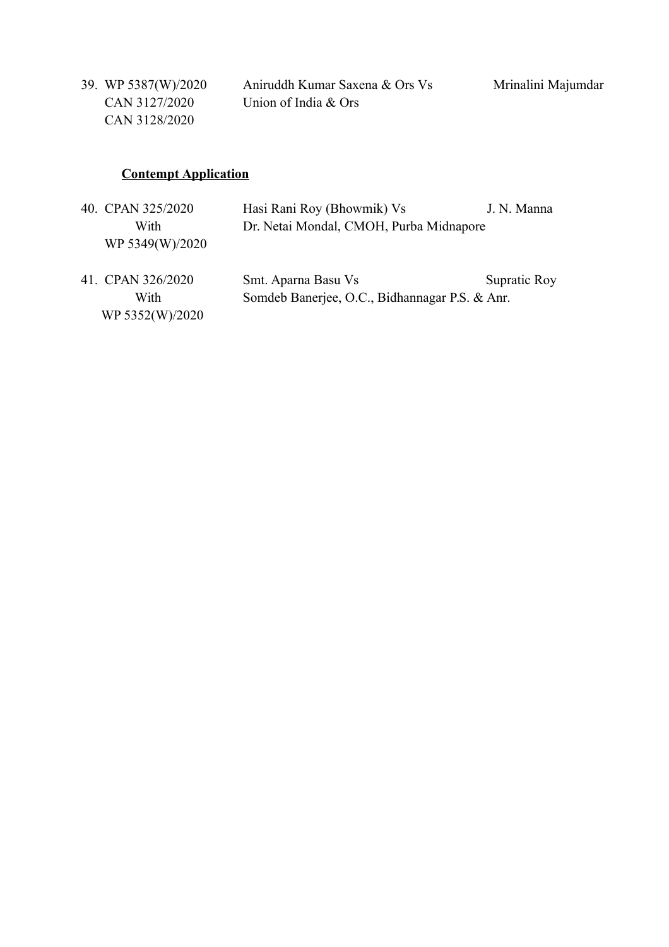| 39. WP 5387(W)/2020 | Aniruddh Kumar Saxena & Ors Vs | Mrinalini Majumdar |
|---------------------|--------------------------------|--------------------|
| CAN 3127/2020       | Union of India $&$ Ors         |                    |
| CAN 3128/2020       |                                |                    |

## **Contempt Application**

|      | 40. CPAN 325/2020 | Hasi Rani Roy (Bhowmik) Vs                     | J. N. Manna  |
|------|-------------------|------------------------------------------------|--------------|
|      | With              | Dr. Netai Mondal, CMOH, Purba Midnapore        |              |
|      | WP 5349(W)/2020   |                                                |              |
|      |                   |                                                |              |
|      | 41. CPAN 326/2020 | Smt. Aparna Basu Vs                            | Supratic Roy |
| With |                   | Somdeb Banerjee, O.C., Bidhannagar P.S. & Anr. |              |
|      | WP 5352(W)/2020   |                                                |              |
|      |                   |                                                |              |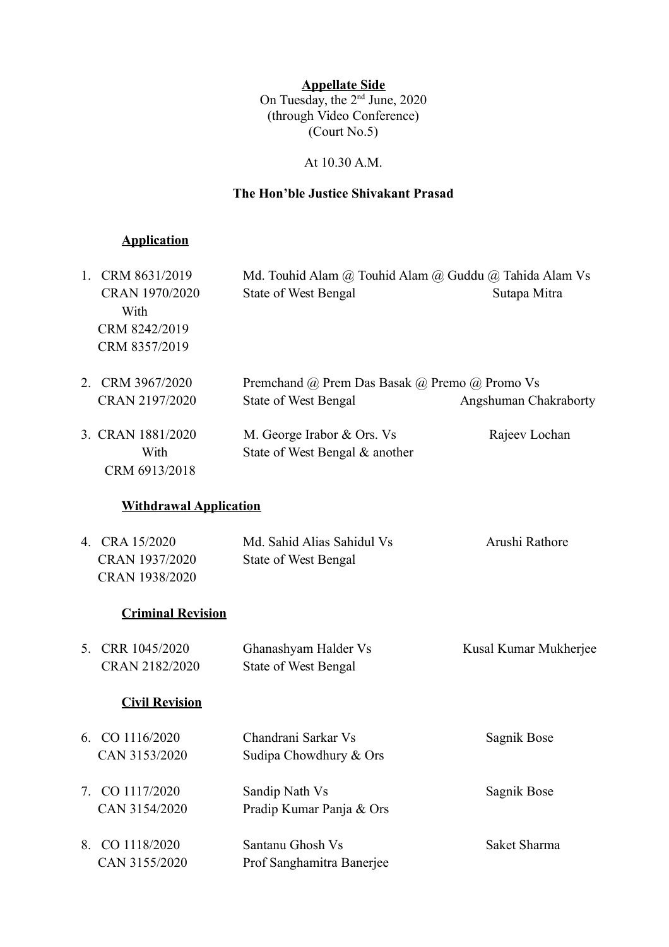**Appellate Side** On Tuesday, the 2<sup>nd</sup> June, 2020 (through Video Conference) (Court No.5)

At 10.30 A.M.

### **The Hon'ble Justice Shivakant Prasad**

## **Application**

|    | 1. CRM 8631/2019<br>CRAN 1970/2020<br>With<br>CRM 8242/2019<br>CRM 8357/2019 | Md. Touhid Alam @ Touhid Alam @ Guddu @ Tahida Alam Vs<br><b>State of West Bengal</b> | Sutapa Mitra          |
|----|------------------------------------------------------------------------------|---------------------------------------------------------------------------------------|-----------------------|
| 2  | CRM 3967/2020<br>CRAN 2197/2020                                              | Premchand @ Prem Das Basak @ Premo @ Promo Vs<br><b>State of West Bengal</b>          | Angshuman Chakraborty |
|    | 3. CRAN 1881/2020<br>With<br>CRM 6913/2018                                   | M. George Irabor & Ors. Vs<br>State of West Bengal & another                          | Rajeev Lochan         |
|    | <b>Withdrawal Application</b>                                                |                                                                                       |                       |
|    | 4. CRA 15/2020<br>CRAN 1937/2020<br>CRAN 1938/2020                           | Md. Sahid Alias Sahidul Vs<br><b>State of West Bengal</b>                             | Arushi Rathore        |
|    | <b>Criminal Revision</b>                                                     |                                                                                       |                       |
| 5. | CRR 1045/2020<br>CRAN 2182/2020                                              | Ghanashyam Halder Vs<br><b>State of West Bengal</b>                                   | Kusal Kumar Mukherjee |
|    | <b>Civil Revision</b>                                                        |                                                                                       |                       |
|    | 6. CO 1116/2020<br>CAN 3153/2020                                             | Chandrani Sarkar Vs<br>Sudipa Chowdhury & Ors                                         | Sagnik Bose           |
| 7. | CO 1117/2020<br>CAN 3154/2020                                                | Sandip Nath Vs<br>Pradip Kumar Panja & Ors                                            | Sagnik Bose           |
| 8. | CO 1118/2020<br>CAN 3155/2020                                                | Santanu Ghosh Vs<br>Prof Sanghamitra Banerjee                                         | Saket Sharma          |